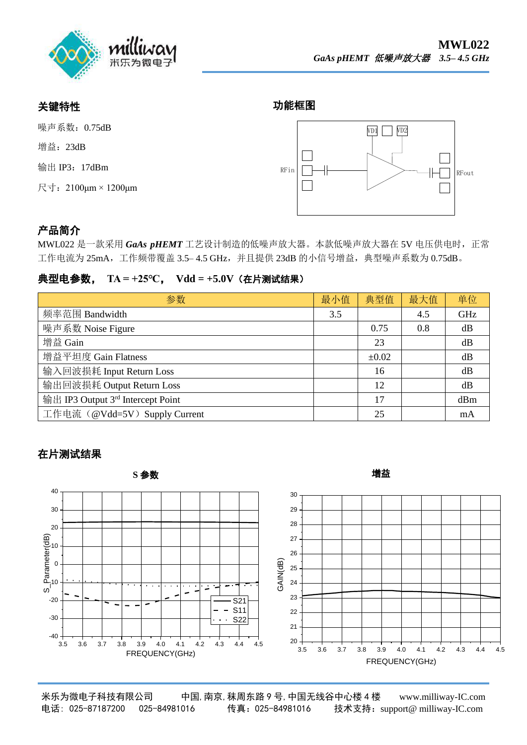

### 关键特性

增益: 23dB

功能框图



# 产品简介

MWL022 是一款采用 GaAs pHEMT 工艺设计制造的低噪声放大器。本款低噪声放大器在 5V 电压供电时, 正常 工作电流为 25mA,工作频带覆盖 3.5-4.5 GHz,并且提供 23dB 的小信号增益,典型噪声系数为 0.75dB。

#### 典型电参数, **TA = +25℃**, **Vdd = +5.0V**(在片测试结果)

| 参数                                            | 最小值 | 典型值        | 最大值 | 单位  |
|-----------------------------------------------|-----|------------|-----|-----|
| 频率范围 Bandwidth                                | 3.5 |            | 4.5 | GHz |
| 噪声系数 Noise Figure                             |     | 0.75       | 0.8 | dB  |
| 增益 Gain                                       |     | 23         |     | dB  |
| 增益平坦度 Gain Flatness                           |     | $\pm 0.02$ |     | dB  |
| 输入回波损耗 Input Return Loss                      |     | 16         |     | dB  |
| 输出回波损耗 Output Return Loss                     |     | 12         |     | dB  |
| 输出 IP3 Output 3 <sup>rd</sup> Intercept Point |     | 17         |     | dBm |
| 工作电流 (@Vdd=5V) Supply Current                 |     | 25         |     | mA  |

### 在片测试结果



米乐为微电子科技有限公司 中国,南京,秣周东路 9 号,中国无线谷中心楼 4 楼 www.milliway-IC.com 电话: 025-87187200 025-84981016 传真:025-84981016 技术支持:sup[port@ milliway-IC.com](http://www.milliway-ic.com/)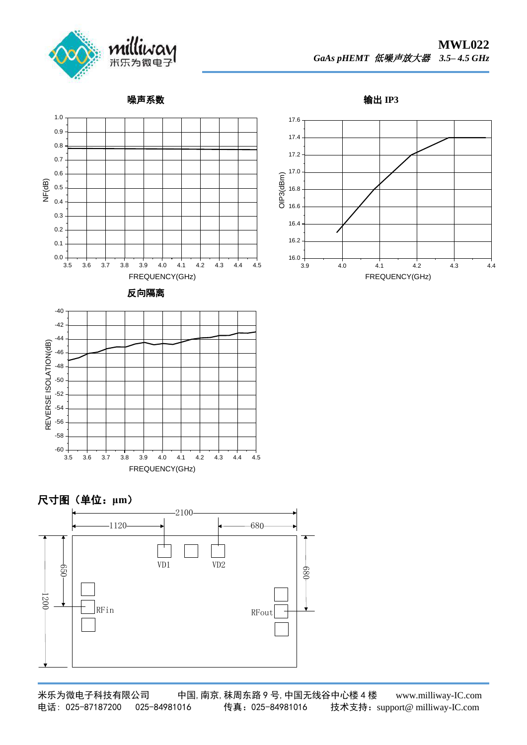

噪声系数

输出 **IP3**



米乐为微电子科技有限公司 中国,南京,秣周东路 9 号,中国无线谷中心楼 4 楼 www.milliway-IC.com 电话: 025-87187200 025-84981016 传真:025-84981016 技术支持:sup[port@ milliway-IC.com](http://www.milliway-ic.com/)